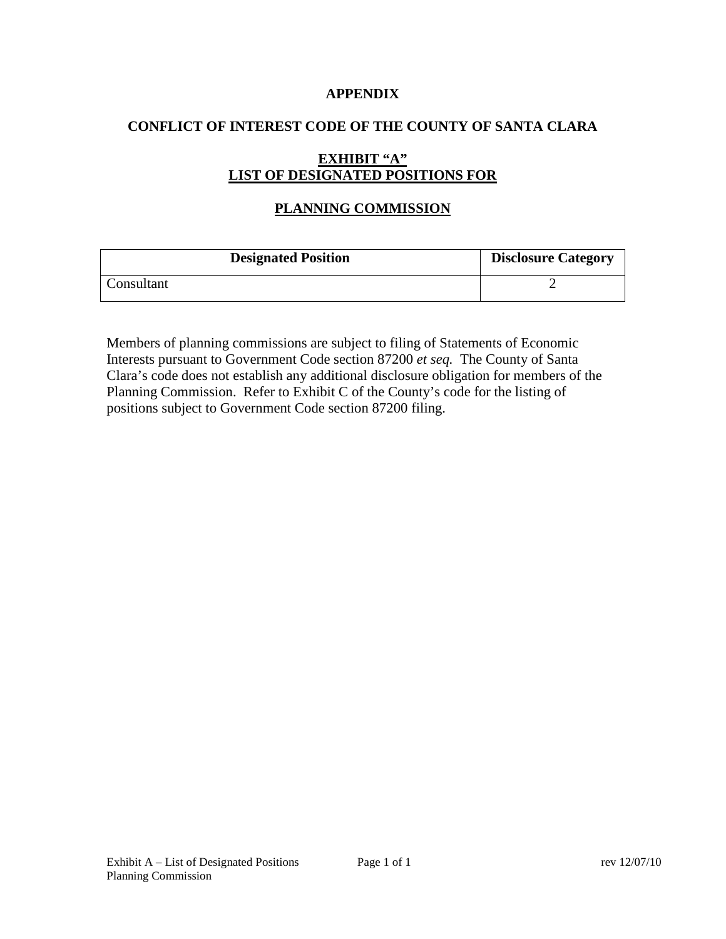### **APPENDIX**

### **CONFLICT OF INTEREST CODE OF THE COUNTY OF SANTA CLARA**

## **EXHIBIT "A" LIST OF DESIGNATED POSITIONS FOR**

# **PLANNING COMMISSION**

| <b>Designated Position</b> | <b>Disclosure Category</b> |
|----------------------------|----------------------------|
| Consultant                 |                            |

Members of planning commissions are subject to filing of Statements of Economic Interests pursuant to Government Code section 87200 *et seq.* The County of Santa Clara's code does not establish any additional disclosure obligation for members of the Planning Commission. Refer to Exhibit C of the County's code for the listing of positions subject to Government Code section 87200 filing.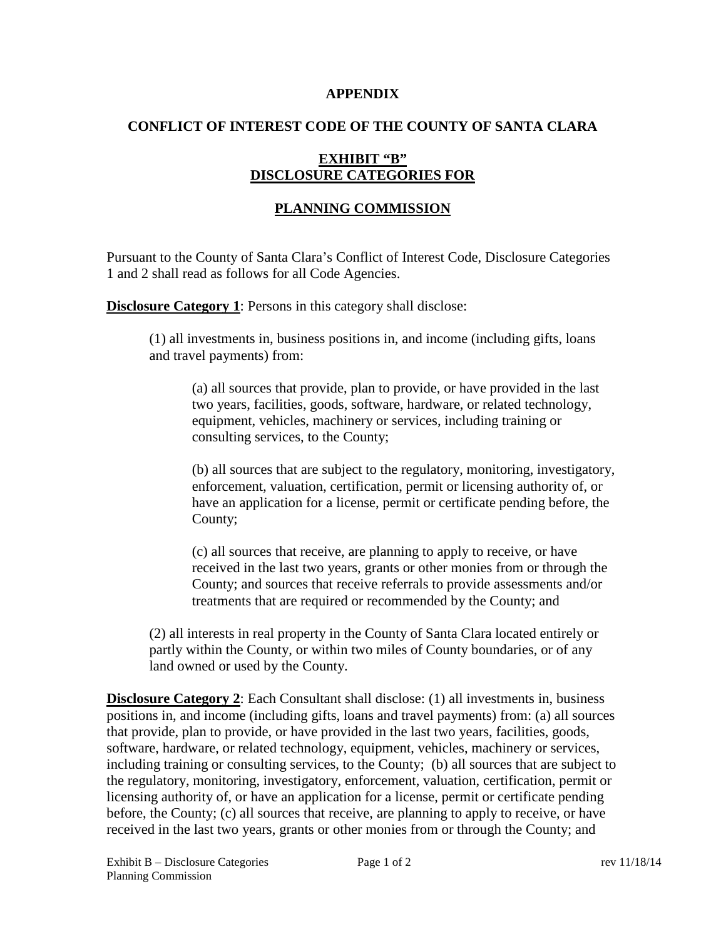#### **APPENDIX**

## **CONFLICT OF INTEREST CODE OF THE COUNTY OF SANTA CLARA**

## **EXHIBIT "B" DISCLOSURE CATEGORIES FOR**

# **PLANNING COMMISSION**

Pursuant to the County of Santa Clara's Conflict of Interest Code, Disclosure Categories 1 and 2 shall read as follows for all Code Agencies.

**Disclosure Category 1:** Persons in this category shall disclose:

(1) all investments in, business positions in, and income (including gifts, loans and travel payments) from:

(a) all sources that provide, plan to provide, or have provided in the last two years, facilities, goods, software, hardware, or related technology, equipment, vehicles, machinery or services, including training or consulting services, to the County;

(b) all sources that are subject to the regulatory, monitoring, investigatory, enforcement, valuation, certification, permit or licensing authority of, or have an application for a license, permit or certificate pending before, the County;

(c) all sources that receive, are planning to apply to receive, or have received in the last two years, grants or other monies from or through the County; and sources that receive referrals to provide assessments and/or treatments that are required or recommended by the County; and

(2) all interests in real property in the County of Santa Clara located entirely or partly within the County, or within two miles of County boundaries, or of any land owned or used by the County.

**Disclosure Category 2:** Each Consultant shall disclose: (1) all investments in, business positions in, and income (including gifts, loans and travel payments) from: (a) all sources that provide, plan to provide, or have provided in the last two years, facilities, goods, software, hardware, or related technology, equipment, vehicles, machinery or services, including training or consulting services, to the County; (b) all sources that are subject to the regulatory, monitoring, investigatory, enforcement, valuation, certification, permit or licensing authority of, or have an application for a license, permit or certificate pending before, the County; (c) all sources that receive, are planning to apply to receive, or have received in the last two years, grants or other monies from or through the County; and